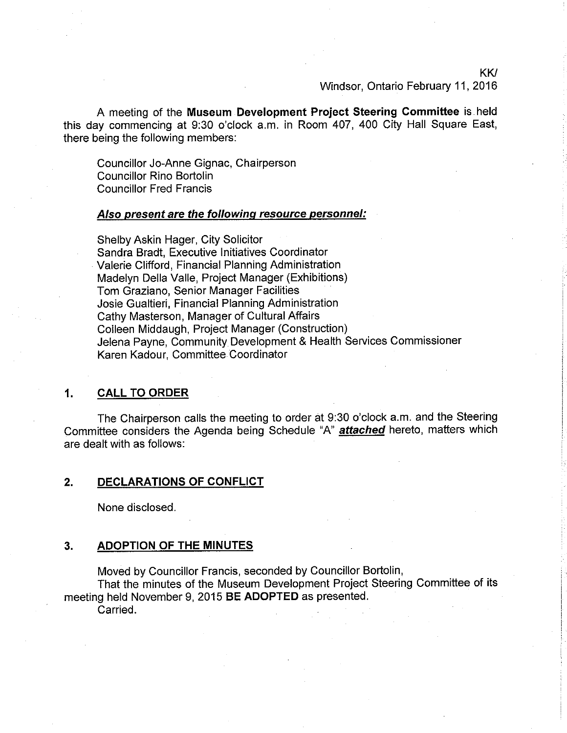KW

Windsor, Ontario February 11,2016

A meeting of the Museum Development Project Steering Committee is held this day commencing at 9:30 o'clock a.m. in Room 407, 400 City Hall Square East, there being the following members:

Councillor Jo-Anne Gignac, Chairperson Councillor Rino Bortolin Councillor Fred Francis

### Also present are the following resource personnel:

Shelby Askin Hager, City Solicitor Sandra Bradt, Executive lnitiatives Coordinator Valerie Clifford, Financial Planning Administration Madelyn Della Valle, Project Manager (Exhibitions) Tom Graziano, Senior Manager Facilities Josie Gualtieri, Financial Planning Administration Cathy Masterson, Manager of Cultural Affairs Colleen Middaugh, Project Manager (Construction) Jelena Payne, Community Development & Health Services Commissioner Karen Kadour, Committee Coordinator

# 1, CALL TO ORDER

The Chairperson calls the meeting to order at 9:30 o'clock a.m. and the Steering Committee considers the Agenda being Schedule "A" **attached** hereto, matters which are dealt with as follows:

## 2, DECLARATIONS OF CONFLICT

None disclosed.

#### 3. ADOPTION OF THE MINUTES

Moved by Councillor Francis, seconded by Councillor Bortolin,

That the minutes of the Museum Development Project Steering Committee of its meeting held November 9, 2015 BE ADOPTED as presented.

Carried.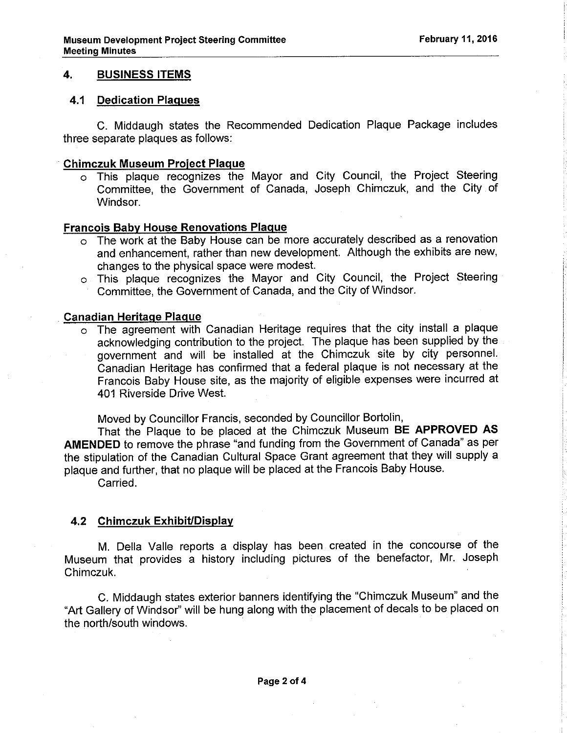# 4. BUSINESS ITEMS

# 4.1 Dedication Plaques

C. Middaugh states the Recommended Dedication Plaque Package includes three separate plaques as follows:

### Chimczuk Museum Proiect Plaque

o This plaque recognizes the Mayor and City Council, the Project Steering Committee, the Government of Canada, Joseph Chimczuk, and the City of Windsor.

# Francois Babv House Renovations Plaque

- o The work at the Baby House can be more accurately described as a renovation and enhancement, rather than new development. Although the exhibits are new, changes to the physical space were modest.
- o This plaque recognizes the Mayor and City Council, the Project Steering Committee, the Government of Canada, and the City of Windsor.

# Canadian Heritaqe Plaque

o The agreement with Canadian Heritage requires that the city install a plaque acknowledging contribution to the project. The plaque has been supplied by the government and will be installed at the Chimczuk site by city personnel. Ôanadian Heritage has confirmed that a federal plaque is not necessary at the Francois Baby House site, as the majority of eligible expenses were incurred at 401 Riverside Drive West.

Moved by Councillor Francis, seconded by Councillor Bortolin,

That the Plaque to be placed at the Chimczuk Museum BE APPROVED AS AMENDED to remove the phrase "and funding from the Government of Canada" as per the stipulation of the canadian cultural space Grant agreement that they will supply a plaque and further, that no plaque will be placed at the Francois Baby House.

Carried.

# 4.2 Chimczuk Exhibit/Display

M. Della Valle reports a display has been created in the concourse of the Museum that provides a history including pictures of the benefactor, Mr. Joseph Chimczuk.

C. Middaugh states exterior banners identifying the "Chimczuk Museum" and the "Art Gallery of Windsor" will be hung along with the placement of decals to be placed on the north/south windows.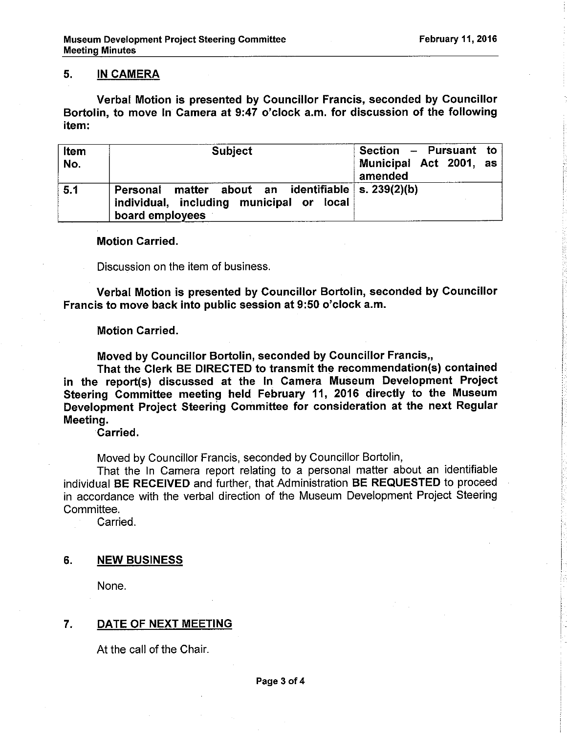# 5. IN CAMERA

Verbal Motion is presented by Councillor Francis, seconded by Gouncillor Bortolin, to move in Camera at 9:47 o'clock a.m. for discussion of the following item:

| Item<br>No. | <b>Subject</b>                                                                                                      | Section - Pursuant to<br>Municipal Act 2001, as<br>amended |
|-------------|---------------------------------------------------------------------------------------------------------------------|------------------------------------------------------------|
| 5.1         | Personal matter about an identifiable   s. 239(2)(b)<br>individual, including municipal or local<br>board employees |                                                            |

# Motion Carried.

Discussion on the item of business.

Verbal Motion is presented by Councillor Bortolin, seconded by Councillor Francis to move back into public session at 9:50 o'clock a.m.

# Motion Carried.

Moved by Gouncillor Bortolin, seconded by Councillor Francis,,

That the Clerk BE DIRECTED to transmit the recommendation(s) contained in the report(s) discussed at the ln Gamera Museum Development Project Steering Committee meeting held February 11, 2016 directly to the Museum Development Project Steering Committee for consideration at the next Regular Meeting.

Garried.

Moved by Councillor Francis, seconded by Councillor Bortolin,

That the ln Camera report relating to a personal matter about an identifiable individual BE RECEIVED and further, that Administration BE REQUESTED to proceed in accordance with the verbal direction of the Museum Development Project Steering Committee.

Carried.

# 6. NEW BUSINESS

None.

# 7. DATE OF NEXT MEETING

At the call of the Chair.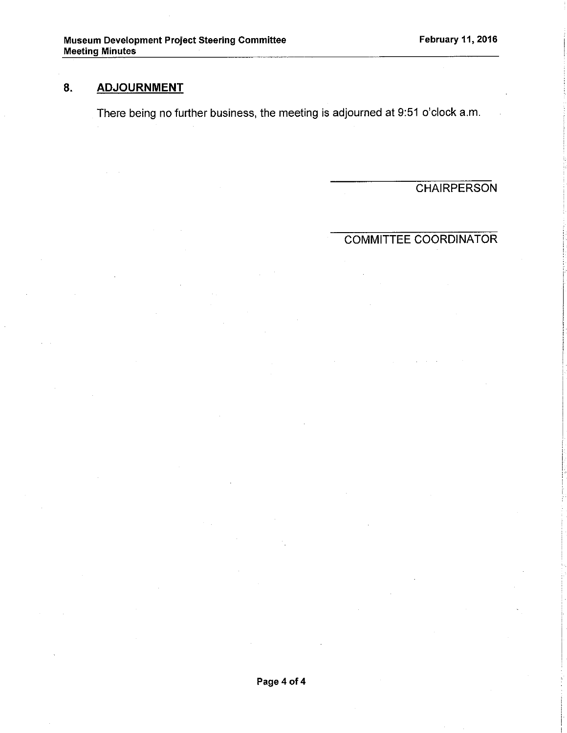# 8. ADJOURNMENT

There being no further business, the meeting is adjourned at 9:51 o'clock a.m

**CHAIRPERSON** 

# COMMITTEE COORDINATOR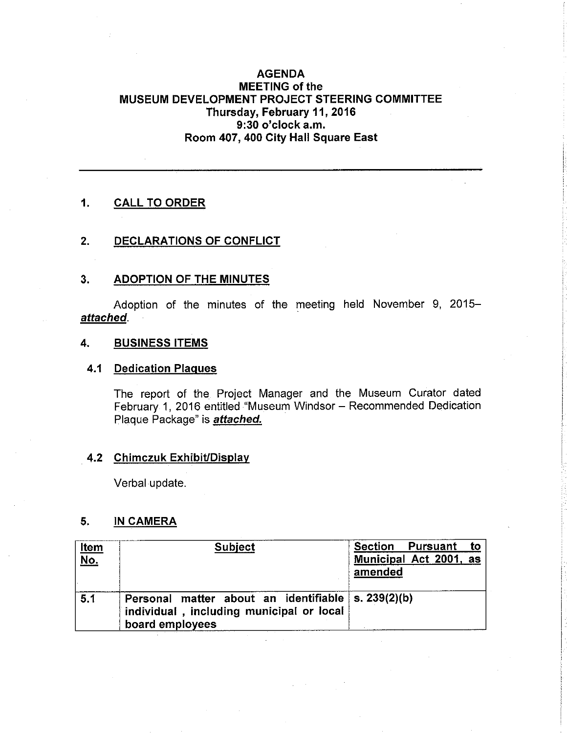# AGENDA MEETING of the MUSEUM DEVELOPMENT PROJECT STEERING COMMITTEE Thursday, February 11, 2016 9:30 o'clock a.m. Room 407, 400 City Hall Square East

# 1. CALL TO ORDER

# 2. DECLARATIONS OF CONFLICT

# 3. ADOPTION OF THE MINUTES

Adoption of the minutes of the meeting held November 9, 2015attached.

# 4. BUSINESS ITEMS

# 4.1 Dedication Plaques

The report of the Project Manager and the Museum Curator dated February 1, 2016 entitled "Museum Windsor - Recommended Dedication Plaque Package" is **attached.** 

# 4.2 Chimczuk Exhibit/Display

Verbal update.

# 5. IN CAMERA

| <u>Item</u><br>$NO$ . | <b>Subject</b>                                                                                                     | to<br>Section Pursuant<br>Municipal Act 2001, as<br>amended |
|-----------------------|--------------------------------------------------------------------------------------------------------------------|-------------------------------------------------------------|
| 5.1                   | Personal matter about an identifiable \s. 239(2)(b)<br>individual, including municipal or local<br>board employees |                                                             |